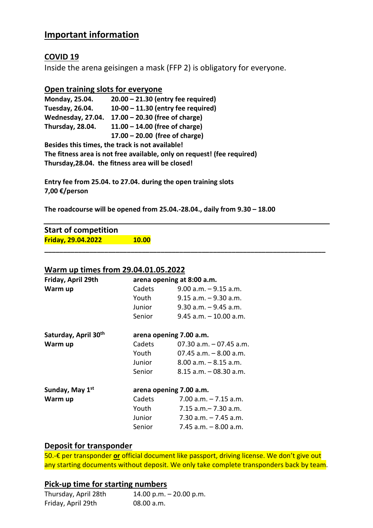## **Important information**

### **COVID 19**

Inside the arena geisingen a mask (FFP 2) is obligatory for everyone.

#### **Open training slots for everyone**

| Monday, 25.04.                                  | $20.00 - 21.30$ (entry fee required) |  |
|-------------------------------------------------|--------------------------------------|--|
| <b>Tuesday, 26.04.</b>                          | $10-00 - 11.30$ (entry fee required) |  |
| Wednesday, 27.04.                               | $17.00 - 20.30$ (free of charge)     |  |
| Thursday, 28.04.                                | $11.00 - 14.00$ (free of charge)     |  |
|                                                 | $17.00 - 20.00$ (free of charge)     |  |
| Besides this times, the track is not available! |                                      |  |

**The fitness area is not free available, only on request! (fee required) Thursday,28.04. the fitness area will be closed!** 

**Entry fee from 25.04. to 27.04. during the open training slots 7,00 €/person** 

**The roadcourse will be opened from 25.04.-28.04., daily from 9.30 – 18.00** 

**\_\_\_\_\_\_\_\_\_\_\_\_\_\_\_\_\_\_\_\_\_\_\_\_\_\_\_\_\_\_\_\_\_\_\_\_\_\_\_\_\_\_\_\_\_\_\_\_\_\_\_\_\_\_\_\_\_\_\_\_\_\_\_\_\_\_\_\_\_\_\_\_\_\_\_** 

**Start of competition Friday, 29.04.2022 10.00** 

#### **Warm up times from 29.04.01.05.2022**

| Friday, April 29th          | arena opening at 8:00 a.m. |                            |
|-----------------------------|----------------------------|----------------------------|
| Warm up                     | Cadets                     | $9.00$ a.m. $-9.15$ a.m.   |
|                             | Youth                      | $9.15$ a.m. $-9.30$ a.m.   |
|                             | Junior                     | $9.30$ a.m. $-9.45$ a.m.   |
|                             | Senior                     | $9.45$ a.m. $-10.00$ a.m.  |
| Saturday, April 30th        | arena opening 7.00 a.m.    |                            |
| Warm up                     | Cadets                     | $07.30$ a.m. $-07.45$ a.m. |
|                             | Youth                      | $07.45$ a.m. $-8.00$ a.m.  |
|                             | Junior                     | $8.00$ a.m. $-8.15$ a.m.   |
|                             | Senior                     | $8.15$ a.m. $-$ 08.30 a.m. |
| Sunday, May 1 <sup>st</sup> | arena opening 7.00 a.m.    |                            |
| Warm up                     | Cadets                     | $7.00$ a.m. $-7.15$ a.m.   |
|                             | Youth                      | $7.15$ a.m. $-7.30$ a.m.   |
|                             | Junior                     | $7.30$ a.m. $-7.45$ a.m.   |
|                             | Senior                     | $7.45$ a.m. $-8.00$ a.m.   |

#### **Deposit for transponder**

50.-€ per transponder **or** official document like passport, driving license. We don't give out any starting documents without deposit. We only take complete transponders back by team.

### **Pick-up time for starting numbers**

| Thursday, April 28th | 14.00 p.m. $-$ 20.00 p.m. |
|----------------------|---------------------------|
| Friday, April 29th   | 08.00 a.m.                |